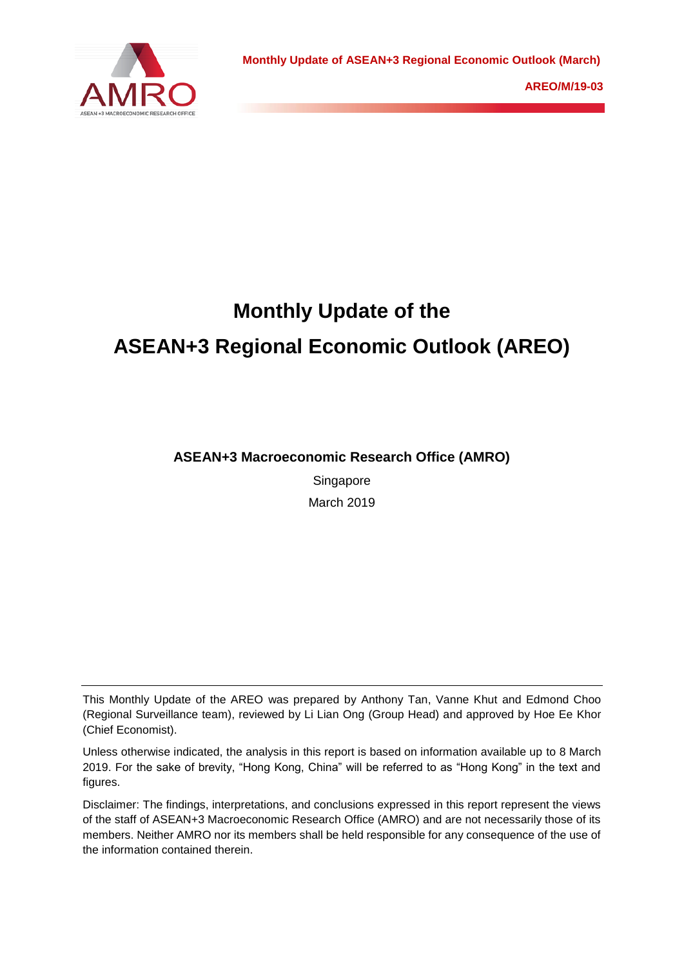

# **Monthly Update of the ASEAN+3 Regional Economic Outlook (AREO)**

**ASEAN+3 Macroeconomic Research Office (AMRO)**

Singapore March 2019

This Monthly Update of the AREO was prepared by Anthony Tan, Vanne Khut and Edmond Choo (Regional Surveillance team), reviewed by Li Lian Ong (Group Head) and approved by Hoe Ee Khor (Chief Economist).

Unless otherwise indicated, the analysis in this report is based on information available up to 8 March 2019. For the sake of brevity, "Hong Kong, China" will be referred to as "Hong Kong" in the text and figures.

Disclaimer: The findings, interpretations, and conclusions expressed in this report represent the views of the staff of ASEAN+3 Macroeconomic Research Office (AMRO) and are not necessarily those of its members. Neither AMRO nor its members shall be held responsible for any consequence of the use of the information contained therein.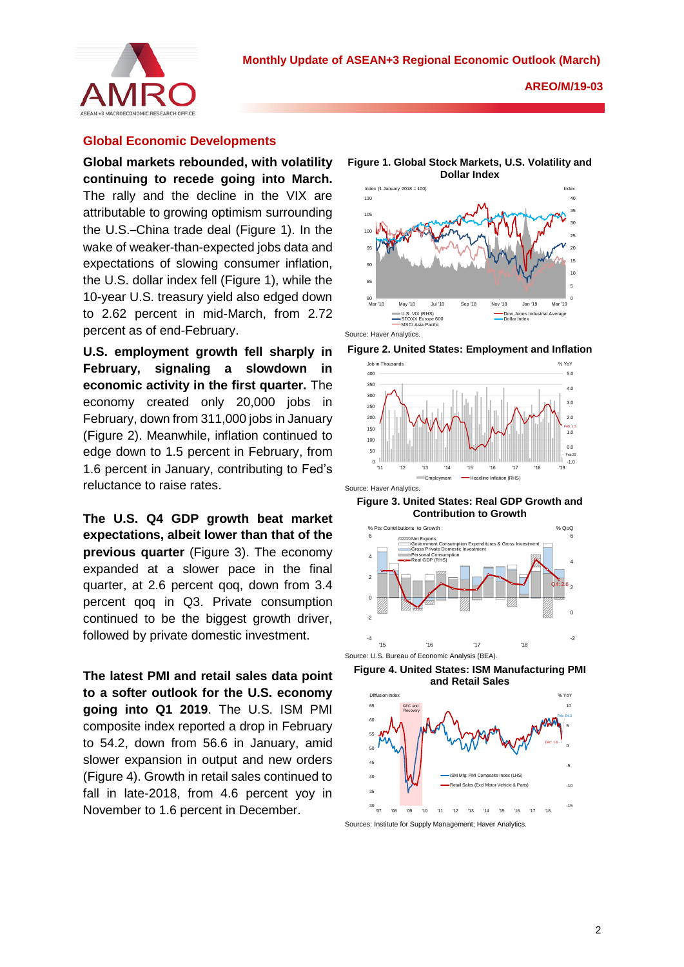

## **Global Economic Developments**

**Global markets rebounded, with volatility continuing to recede going into March.** The rally and the decline in the VIX are attributable to growing optimism surrounding the U.S.–China trade deal (Figure 1). In the wake of weaker-than-expected jobs data and expectations of slowing consumer inflation, the U.S. dollar index fell (Figure 1), while the 10-year U.S. treasury yield also edged down to 2.62 percent in mid-March, from 2.72 percent as of end-February.

**U.S. employment growth fell sharply in February, signaling a slowdown in economic activity in the first quarter.** The economy created only 20,000 jobs in February, down from 311,000 jobs in January (Figure 2). Meanwhile, inflation continued to edge down to 1.5 percent in February, from 1.6 percent in January, contributing to Fed's reluctance to raise rates.

**The U.S. Q4 GDP growth beat market expectations, albeit lower than that of the previous quarter** (Figure 3). The economy expanded at a slower pace in the final quarter, at 2.6 percent qoq, down from 3.4 percent qoq in Q3. Private consumption continued to be the biggest growth driver, followed by private domestic investment.

**The latest PMI and retail sales data point to a softer outlook for the U.S. economy going into Q1 2019**. The U.S. ISM PMI composite index reported a drop in February to 54.2, down from 56.6 in January, amid slower expansion in output and new orders (Figure 4). Growth in retail sales continued to fall in late-2018, from 4.6 percent yoy in November to 1.6 percent in December.

**Figure 1. Global Stock Markets, U.S. Volatility and Dollar Index**







**Figure 3. United States: Real GDP Growth and Contribution to Growth**



**Figure 4. United States: ISM Manufacturing PMI and Retail Sales**



Sources: Institute for Supply Management; Haver Analytics.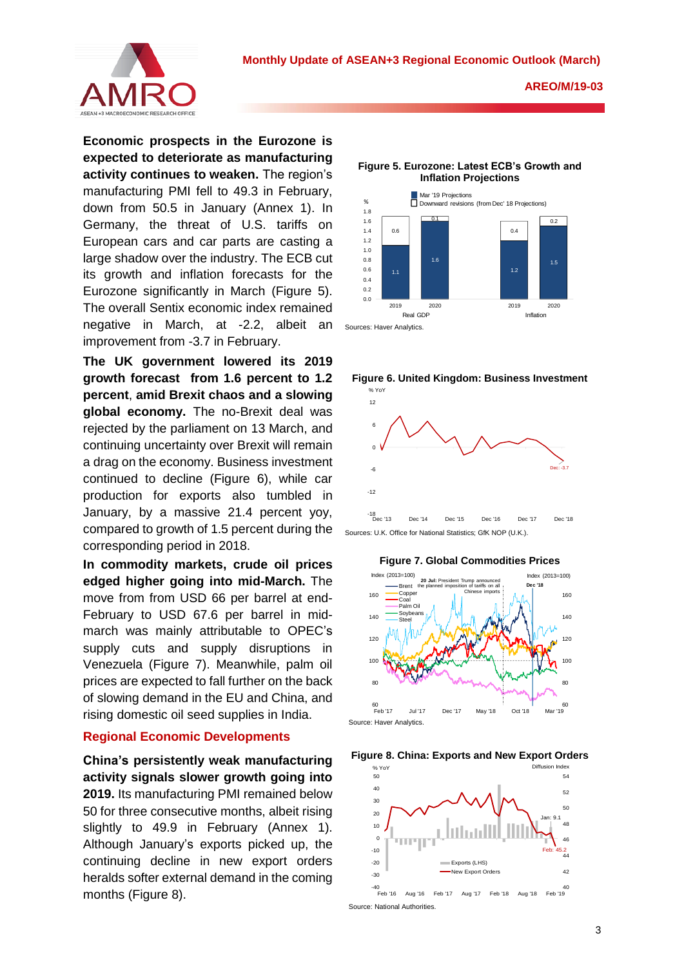

**Economic prospects in the Eurozone is expected to deteriorate as manufacturing activity continues to weaken.** The region's manufacturing PMI fell to 49.3 in February, down from 50.5 in January (Annex 1). In Germany, the threat of U.S. tariffs on European cars and car parts are casting a large shadow over the industry. The ECB cut its growth and inflation forecasts for the Eurozone significantly in March (Figure 5). The overall Sentix economic index remained negative in March, at -2.2, albeit an improvement from -3.7 in February.

**The UK government lowered its 2019 growth forecast from 1.6 percent to 1.2 percent**, **amid Brexit chaos and a slowing global economy.** The no-Brexit deal was rejected by the parliament on 13 March, and continuing uncertainty over Brexit will remain a drag on the economy. Business investment continued to decline (Figure 6), while car production for exports also tumbled in January, by a massive 21.4 percent yoy, compared to growth of 1.5 percent during the corresponding period in 2018.

**In commodity markets, crude oil prices edged higher going into mid-March.** The move from from USD 66 per barrel at end-February to USD 67.6 per barrel in midmarch was mainly attributable to OPEC's supply cuts and supply disruptions in Venezuela (Figure 7). Meanwhile, palm oil prices are expected to fall further on the back of slowing demand in the EU and China, and rising domestic oil seed supplies in India.

#### **Regional Economic Developments**

**China's persistently weak manufacturing activity signals slower growth going into 2019.** Its manufacturing PMI remained below 50 for three consecutive months, albeit rising slightly to 49.9 in February (Annex 1). Although January's exports picked up, the continuing decline in new export orders heralds softer external demand in the coming months (Figure 8).

**Figure 5. Eurozone: Latest ECB's Growth and Inflation Projections**







Sources: U.K. Office for National Statistics; GfK NOP (U.K.).





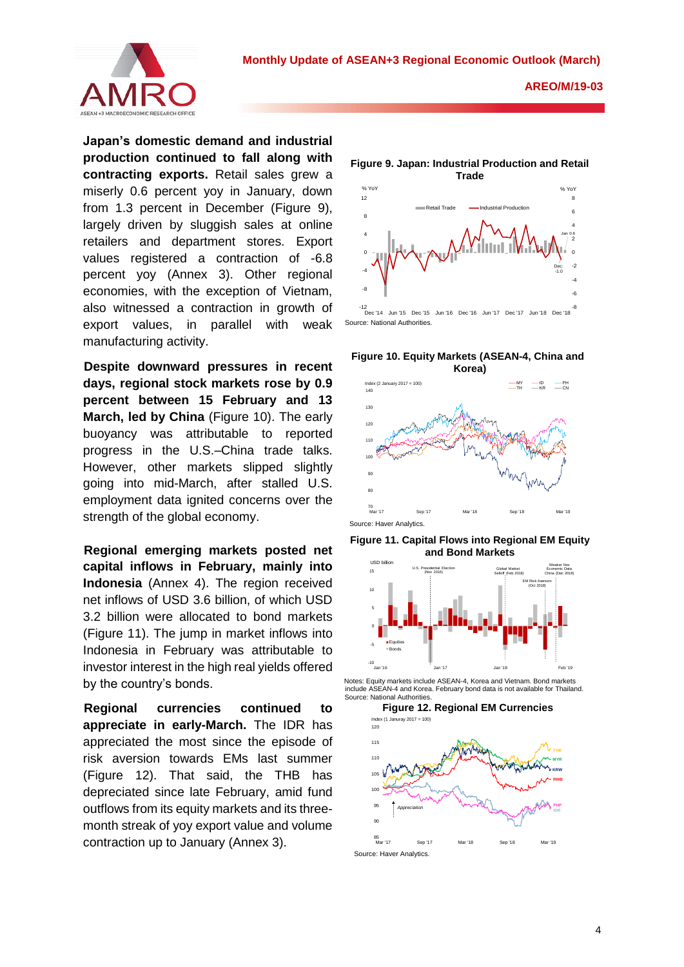

**Japan's domestic demand and industrial production continued to fall along with contracting exports.** Retail sales grew a miserly 0.6 percent yoy in January, down from 1.3 percent in December (Figure 9). largely driven by sluggish sales at online retailers and department stores. Export values registered a contraction of -6.8 percent yoy (Annex 3). Other regional economies, with the exception of Vietnam, also witnessed a contraction in growth of export values, in parallel with weak manufacturing activity.

**Despite downward pressures in recent days, regional stock markets rose by 0.9 percent between 15 February and 13 March, led by China** (Figure 10). The early buoyancy was attributable to reported progress in the U.S.–China trade talks. However, other markets slipped slightly going into mid-March, after stalled U.S. employment data ignited concerns over the strength of the global economy.

**Regional emerging markets posted net capital inflows in February, mainly into Indonesia** (Annex 4). The region received net inflows of USD 3.6 billion, of which USD 3.2 billion were allocated to bond markets (Figure 11). The jump in market inflows into Indonesia in February was attributable to investor interest in the high real yields offered by the country's bonds.

**Regional currencies continued to appreciate in early-March.** The IDR has appreciated the most since the episode of risk aversion towards EMs last summer (Figure 12). That said, the THB has depreciated since late February, amid fund outflows from its equity markets and its threemonth streak of yoy export value and volume contraction up to January (Annex 3).

**Figure 9. Japan: Industrial Production and Retail** 



**Figure 10. Equity Markets (ASEAN-4, China and** 



**Figure 11. Capital Flows into Regional EM Equity and Bond Markets**



 Notes: Equity markets include ASEAN-4, Korea and Vietnam. Bond markets include ASEAN-4 and Korea. February bond data is not available for Thailand. Source: National Authorities.

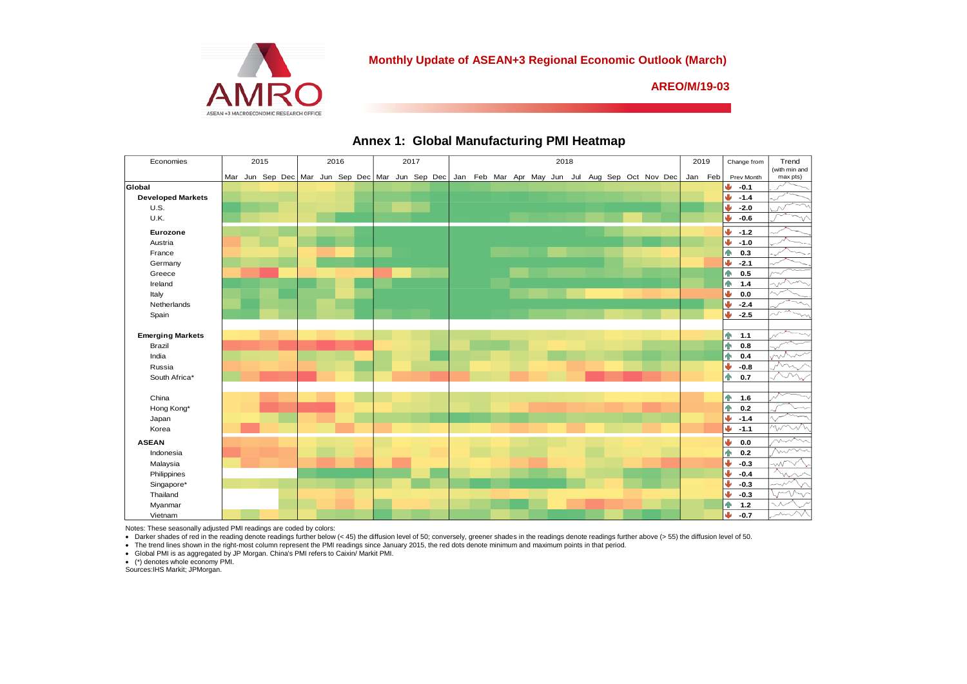

#### **Monthly Update of ASEAN+3 Regional Economic Outlook (March)**

**AREO/M/19-03**

| Economies                | 2015 |  |  | 2016 |  |  |  | 2017 |  |  | 2018 |  |  |  |  |  | 2019 |  | Change from | Trend |  |                                                                                                         |  |                       |                           |
|--------------------------|------|--|--|------|--|--|--|------|--|--|------|--|--|--|--|--|------|--|-------------|-------|--|---------------------------------------------------------------------------------------------------------|--|-----------------------|---------------------------|
|                          |      |  |  |      |  |  |  |      |  |  |      |  |  |  |  |  |      |  |             |       |  | Mar Jun Sep Dec Mar Jun Sep Dec Mar Jun Sep Dec Jan Feb Mar Apr May Jun Jul Aug Sep Oct Nov Dec Jan Feb |  | Prev Month            | (with min and<br>max pts) |
| Global                   |      |  |  |      |  |  |  |      |  |  |      |  |  |  |  |  |      |  |             |       |  |                                                                                                         |  | ₩<br>$-0.1$           |                           |
| <b>Developed Markets</b> |      |  |  |      |  |  |  |      |  |  |      |  |  |  |  |  |      |  |             |       |  |                                                                                                         |  | Ψ<br>$-1.4$           |                           |
| <b>U.S.</b>              |      |  |  |      |  |  |  |      |  |  |      |  |  |  |  |  |      |  |             |       |  |                                                                                                         |  | ψ<br>$-2.0$           |                           |
| U.K.                     |      |  |  |      |  |  |  |      |  |  |      |  |  |  |  |  |      |  |             |       |  |                                                                                                         |  | ψ<br>$-0.6$           |                           |
| Eurozone                 |      |  |  |      |  |  |  |      |  |  |      |  |  |  |  |  |      |  |             |       |  |                                                                                                         |  | J<br>$-1.2$           |                           |
| Austria                  |      |  |  |      |  |  |  |      |  |  |      |  |  |  |  |  |      |  |             |       |  |                                                                                                         |  | J<br>$-1.0$           |                           |
| France                   |      |  |  |      |  |  |  |      |  |  |      |  |  |  |  |  |      |  |             |       |  |                                                                                                         |  | 0.3<br>ńМ             |                           |
| Germany                  |      |  |  |      |  |  |  |      |  |  |      |  |  |  |  |  |      |  |             |       |  |                                                                                                         |  | ىك<br>$-2.1$          |                           |
| Greece                   |      |  |  |      |  |  |  |      |  |  |      |  |  |  |  |  |      |  |             |       |  |                                                                                                         |  | 小<br>0.5              |                           |
| Ireland                  |      |  |  |      |  |  |  |      |  |  |      |  |  |  |  |  |      |  |             |       |  |                                                                                                         |  | 个<br>$1.4$            |                           |
|                          |      |  |  |      |  |  |  |      |  |  |      |  |  |  |  |  |      |  |             |       |  |                                                                                                         |  | Ψ<br>$0.0\,$          | $\vee$                    |
| Italy<br>Netherlands     |      |  |  |      |  |  |  |      |  |  |      |  |  |  |  |  |      |  |             |       |  |                                                                                                         |  | J                     |                           |
| Spain                    |      |  |  |      |  |  |  |      |  |  |      |  |  |  |  |  |      |  |             |       |  |                                                                                                         |  | $-2.4$<br>Ψ<br>$-2.5$ |                           |
|                          |      |  |  |      |  |  |  |      |  |  |      |  |  |  |  |  |      |  |             |       |  |                                                                                                         |  |                       |                           |
| <b>Emerging Markets</b>  |      |  |  |      |  |  |  |      |  |  |      |  |  |  |  |  |      |  |             |       |  |                                                                                                         |  | 个<br>1.1              |                           |
| Brazil                   |      |  |  |      |  |  |  |      |  |  |      |  |  |  |  |  |      |  |             |       |  |                                                                                                         |  | 个<br>0.8              |                           |
| India                    |      |  |  |      |  |  |  |      |  |  |      |  |  |  |  |  |      |  |             |       |  |                                                                                                         |  | 个<br>0.4              |                           |
| Russia                   |      |  |  |      |  |  |  |      |  |  |      |  |  |  |  |  |      |  |             |       |  |                                                                                                         |  | Φ<br>$-0.8$           |                           |
| South Africa*            |      |  |  |      |  |  |  |      |  |  |      |  |  |  |  |  |      |  |             |       |  |                                                                                                         |  | 0.7<br>个              |                           |
|                          |      |  |  |      |  |  |  |      |  |  |      |  |  |  |  |  |      |  |             |       |  |                                                                                                         |  |                       |                           |
| China                    |      |  |  |      |  |  |  |      |  |  |      |  |  |  |  |  |      |  |             |       |  |                                                                                                         |  | 个<br>1.6              |                           |
| Hong Kong*               |      |  |  |      |  |  |  |      |  |  |      |  |  |  |  |  |      |  |             |       |  |                                                                                                         |  | 个<br>0.2              |                           |
| Japan                    |      |  |  |      |  |  |  |      |  |  |      |  |  |  |  |  |      |  |             |       |  |                                                                                                         |  | $-1.4$<br>Ψ           |                           |
| Korea                    |      |  |  |      |  |  |  |      |  |  |      |  |  |  |  |  |      |  |             |       |  |                                                                                                         |  | Ψ<br>$-1.1$           |                           |
| <b>ASEAN</b>             |      |  |  |      |  |  |  |      |  |  |      |  |  |  |  |  |      |  |             |       |  |                                                                                                         |  | ىك<br>$0.0\,$         |                           |
| Indonesia                |      |  |  |      |  |  |  |      |  |  |      |  |  |  |  |  |      |  |             |       |  |                                                                                                         |  |                       |                           |
|                          |      |  |  |      |  |  |  |      |  |  |      |  |  |  |  |  |      |  |             |       |  |                                                                                                         |  | 0.2<br>ЙÑ<br>J۶       |                           |
| Malaysia                 |      |  |  |      |  |  |  |      |  |  |      |  |  |  |  |  |      |  |             |       |  |                                                                                                         |  | $-0.3$<br>J           | $\sim\!\!\mathcal{N}$     |
| Philippines              |      |  |  |      |  |  |  |      |  |  |      |  |  |  |  |  |      |  |             |       |  |                                                                                                         |  | $-0.4$<br>ىل          | w                         |
| Singapore*               |      |  |  |      |  |  |  |      |  |  |      |  |  |  |  |  |      |  |             |       |  |                                                                                                         |  | $-0.3$<br>⊌           |                           |
| Thailand                 |      |  |  |      |  |  |  |      |  |  |      |  |  |  |  |  |      |  |             |       |  |                                                                                                         |  | $-0.3$<br>个<br>$1.2$  |                           |
| Myanmar<br>Vietnam       |      |  |  |      |  |  |  |      |  |  |      |  |  |  |  |  |      |  |             |       |  |                                                                                                         |  | db.<br>$-0.7$         |                           |
|                          |      |  |  |      |  |  |  |      |  |  |      |  |  |  |  |  |      |  |             |       |  |                                                                                                         |  |                       |                           |

## **Annex 1: Global Manufacturing PMI Heatmap**

Notes: These seasonally adjusted PMI readings are coded by colors:

• Darker shades of red in the reading denote readings further below (< 45) the diffusion level of 50, conversely, greener shades in the readings denote readings further above (> 55) the diffusion level of 50.

▪ The trend lines shown in the right-most column represent the PMI readings since January 2015, the red dots denote minimum and maximum points in that period.<br>▪ Global PMI is as aggregated by JP Morgan. China's PMI refers

(\*) denotes whole economy PMI. Sources:IHS Markit; JPMorgan.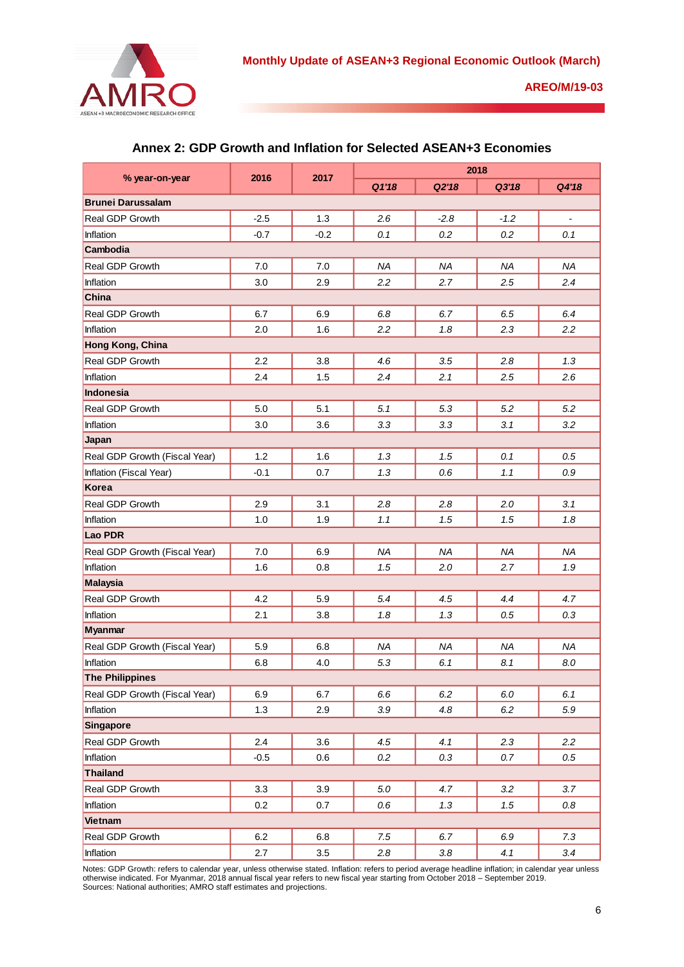

|                               |        |        | 2018      |           |           |                              |  |  |  |  |
|-------------------------------|--------|--------|-----------|-----------|-----------|------------------------------|--|--|--|--|
| % year-on-year                | 2016   | 2017   | Q1'18     | Q2'18     | Q3'18     | Q4'18                        |  |  |  |  |
| <b>Brunei Darussalam</b>      |        |        |           |           |           |                              |  |  |  |  |
| <b>Real GDP Growth</b>        | $-2.5$ | 1.3    | 2.6       | $-2.8$    | $-1.2$    | $\qquad \qquad \blacksquare$ |  |  |  |  |
| Inflation                     | $-0.7$ | $-0.2$ | 0.1       | 0.2       | 0.2       | 0.1                          |  |  |  |  |
| Cambodia                      |        |        |           |           |           |                              |  |  |  |  |
| Real GDP Growth               | 7.0    | 7.0    | <b>NA</b> | ΝA        | <b>NA</b> | NA                           |  |  |  |  |
| Inflation                     | 3.0    | 2.9    | 2.2       | 2.7       | 2.5       | 2.4                          |  |  |  |  |
| <b>China</b>                  |        |        |           |           |           |                              |  |  |  |  |
| Real GDP Growth               | 6.7    | 6.9    | 6.8       | 6.7       | 6.5       | 6.4                          |  |  |  |  |
| Inflation                     | 2.0    | 1.6    | 2.2       | 1.8       | 2.3       | 2.2                          |  |  |  |  |
| Hong Kong, China              |        |        |           |           |           |                              |  |  |  |  |
| Real GDP Growth               | 2.2    | 3.8    | 4.6       | 3.5       | 2.8       | 1.3                          |  |  |  |  |
| Inflation                     | 2.4    | 1.5    | 2.4       | 2.1       | 2.5       | 2.6                          |  |  |  |  |
| <b>Indonesia</b>              |        |        |           |           |           |                              |  |  |  |  |
| Real GDP Growth               | 5.0    | 5.1    | 5.1       | 5.3       | 5.2       | 5.2                          |  |  |  |  |
| Inflation                     | 3.0    | 3.6    | 3.3       | 3.3       | 3.1       | 3.2                          |  |  |  |  |
| Japan                         |        |        |           |           |           |                              |  |  |  |  |
| Real GDP Growth (Fiscal Year) | 1.2    | 1.6    | 1.3       | 1.5       | 0.1       | 0.5                          |  |  |  |  |
| Inflation (Fiscal Year)       | $-0.1$ | 0.7    | 1.3       | 0.6       | 1.1       | 0.9                          |  |  |  |  |
| Korea                         |        |        |           |           |           |                              |  |  |  |  |
| Real GDP Growth               | 2.9    | 3.1    | 2.8       | 2.8       | 2.0       | 3.1                          |  |  |  |  |
| Inflation                     | 1.0    | 1.9    | 1.1       | 1.5       | 1.5       | 1.8                          |  |  |  |  |
| <b>Lao PDR</b>                |        |        |           |           |           |                              |  |  |  |  |
| Real GDP Growth (Fiscal Year) | 7.0    | 6.9    | <b>NA</b> | <b>NA</b> | <b>NA</b> | <b>NA</b>                    |  |  |  |  |
| Inflation                     | 1.6    | 0.8    | 1.5       | 2.0       | 2.7       | 1.9                          |  |  |  |  |
| <b>Malaysia</b>               |        |        |           |           |           |                              |  |  |  |  |
| Real GDP Growth               | 4.2    | 5.9    | 5.4       | 4.5       | 4.4       | 4.7                          |  |  |  |  |
| Inflation                     | 2.1    | 3.8    | 1.8       | 1.3       | 0.5       | 0.3                          |  |  |  |  |
| <b>Myanmar</b>                |        |        |           |           |           |                              |  |  |  |  |
| Real GDP Growth (Fiscal Year) | 5.9    | 6.8    | <b>NA</b> | <b>NA</b> | <b>NA</b> | <b>NA</b>                    |  |  |  |  |
| Inflation                     | 6.8    | 4.0    | 5.3       | 6.1       | 8.1       | 8.0                          |  |  |  |  |
| <b>The Philippines</b>        |        |        |           |           |           |                              |  |  |  |  |
| Real GDP Growth (Fiscal Year) | 6.9    | 6.7    | 6.6       | 6.2       | $6.0\,$   | 6.1                          |  |  |  |  |
| Inflation                     | 1.3    | 2.9    | $3.9\,$   | 4.8       | 6.2       | 5.9                          |  |  |  |  |
| Singapore                     |        |        |           |           |           |                              |  |  |  |  |
| Real GDP Growth               | 2.4    | 3.6    | 4.5       | 4.1       | 2.3       | 2.2                          |  |  |  |  |
| Inflation                     | $-0.5$ | 0.6    | 0.2       | 0.3       | 0.7       | $0.5\,$                      |  |  |  |  |
| Thailand                      |        |        |           |           |           |                              |  |  |  |  |
| Real GDP Growth               | 3.3    | 3.9    | $5.0\,$   | 4.7       | 3.2       | 3.7                          |  |  |  |  |
| Inflation                     | 0.2    | 0.7    | 0.6       | 1.3       | 1.5       | 0.8                          |  |  |  |  |
| Vietnam                       |        |        |           |           |           |                              |  |  |  |  |
| Real GDP Growth               | 6.2    | 6.8    | 7.5       | 6.7       | 6.9       | 7.3                          |  |  |  |  |
| Inflation                     | 2.7    | 3.5    | 2.8       | 3.8       | 4.1       | 3.4                          |  |  |  |  |

# **Annex 2: GDP Growth and Inflation for Selected ASEAN+3 Economies**

Notes: GDP Growth: refers to calendar year, unless otherwise stated. Inflation: refers to period average headline inflation; in calendar year unless otherwise indicated. For Myanmar, 2018 annual fiscal year refers to new fiscal year starting from October 2018 – September 2019. Sources: National authorities; AMRO staff estimates and projections.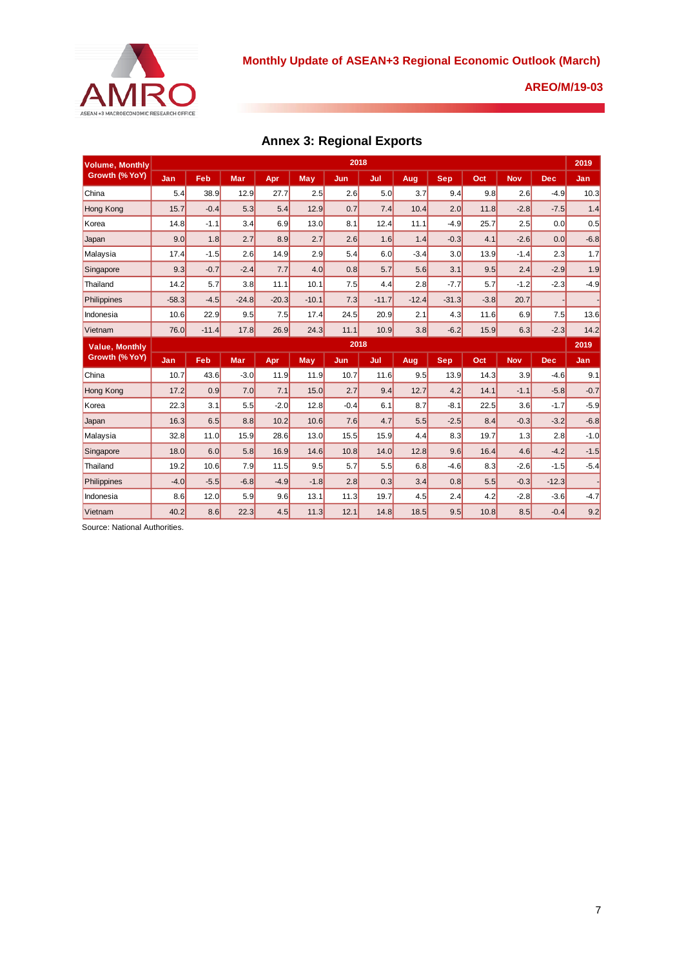

# **Annex 3: Regional Exports**

| <b>Volume, Monthly</b>                  |         | 2018    |            |         |         |        |         |         |            |        |            |            |        |  |  |
|-----------------------------------------|---------|---------|------------|---------|---------|--------|---------|---------|------------|--------|------------|------------|--------|--|--|
| Growth (% YoY)                          | Jan     | Feb     | <b>Mar</b> | Apr     | May     | Jun.   | Jul     | Aug     | <b>Sep</b> | Oct    | <b>Nov</b> | <b>Dec</b> | Jan    |  |  |
| China                                   | 5.4     | 38.9    | 12.9       | 27.7    | 2.5     | 2.6    | 5.0     | 3.7     | 9.4        | 9.8    | 2.6        | $-4.9$     | 10.3   |  |  |
| <b>Hong Kong</b>                        | 15.7    | $-0.4$  | 5.3        | 5.4     | 12.9    | 0.7    | 7.4     | 10.4    | 2.0        | 11.8   | $-2.8$     | $-7.5$     | 1.4    |  |  |
| Korea                                   | 14.8    | $-1.1$  | 3.4        | 6.9     | 13.0    | 8.1    | 12.4    | 11.1    | $-4.9$     | 25.7   | 2.5        | 0.0        | 0.5    |  |  |
| Japan                                   | 9.0     | 1.8     | 2.7        | 8.9     | 2.7     | 2.6    | 1.6     | 1.4     | $-0.3$     | 4.1    | $-2.6$     | 0.0        | $-6.8$ |  |  |
| Malaysia                                | 17.4    | $-1.5$  | 2.6        | 14.9    | 2.9     | 5.4    | 6.0     | $-3.4$  | 3.0        | 13.9   | $-1.4$     | 2.3        | 1.7    |  |  |
| Singapore                               | 9.3     | $-0.7$  | $-2.4$     | 7.7     | 4.0     | 0.8    | 5.7     | 5.6     | 3.1        | 9.5    | 2.4        | $-2.9$     | 1.9    |  |  |
| Thailand                                | 14.2    | 5.7     | 3.8        | 11.1    | 10.1    | 7.5    | 4.4     | 2.8     | $-7.7$     | 5.7    | $-1.2$     | $-2.3$     | $-4.9$ |  |  |
| Philippines                             | $-58.3$ | $-4.5$  | $-24.8$    | $-20.3$ | $-10.1$ | 7.3    | $-11.7$ | $-12.4$ | $-31.3$    | $-3.8$ | 20.7       |            |        |  |  |
| Indonesia                               | 10.6    | 22.9    | 9.5        | 7.5     | 17.4    | 24.5   | 20.9    | 2.1     | 4.3        | 11.6   | 6.9        | 7.5        | 13.6   |  |  |
| Vietnam                                 | 76.0    | $-11.4$ | 17.8       | 26.9    | 24.3    | 11.1   | 10.9    | 3.8     | $-6.2$     | 15.9   | 6.3        | $-2.3$     | 14.2   |  |  |
| <b>Value, Monthly</b><br>Growth (% YoY) | 2018    |         |            |         |         |        |         |         |            |        |            |            |        |  |  |
|                                         | Jan     | Feb     | <b>Mar</b> | Apr.    | May     | Jun    | Jul     | Aug     | Sep.       | Oct    | <b>Nov</b> | <b>Dec</b> | Jan    |  |  |
| China                                   | 10.7    | 43.6    | $-3.0$     | 11.9    | 11.9    | 10.7   | 11.6    | 9.5     | 13.9       | 14.3   | 3.9        | $-4.6$     | 9.1    |  |  |
| <b>Hong Kong</b>                        | 17.2    | 0.9     | 7.0        | 7.1     | 15.0    | 2.7    | 9.4     | 12.7    | 4.2        | 14.1   | $-1.1$     | $-5.8$     | $-0.7$ |  |  |
| Korea                                   | 22.3    | 3.1     | 5.5        | $-2.0$  | 12.8    | $-0.4$ | 6.1     | 8.7     | $-8.1$     | 22.5   | 3.6        | $-1.7$     | $-5.9$ |  |  |
| Japan                                   | 16.3    | 6.5     | 8.8        | 10.2    | 10.6    | 7.6    | 4.7     | 5.5     | $-2.5$     | 8.4    | $-0.3$     | $-3.2$     | $-6.8$ |  |  |
| Malaysia                                | 32.8    | 11.0    | 15.9       | 28.6    | 13.0    | 15.5   | 15.9    | 4.4     | 8.3        | 19.7   | 1.3        | 2.8        | $-1.0$ |  |  |
| Singapore                               | 18.0    | 6.0     | 5.8        | 16.9    | 14.6    | 10.8   | 14.0    | 12.8    | 9.6        | 16.4   | 4.6        | $-4.2$     | $-1.5$ |  |  |
| Thailand                                | 19.2    | 10.6    | 7.9        | 11.5    | 9.5     | 5.7    | 5.5     | 6.8     | $-4.6$     | 8.3    | $-2.6$     | $-1.5$     | $-5.4$ |  |  |
| Philippines                             | $-4.0$  | $-5.5$  | $-6.8$     | $-4.9$  | $-1.8$  | 2.8    | 0.3     | 3.4     | 0.8        | 5.5    | $-0.3$     | $-12.3$    |        |  |  |
| Indonesia                               | 8.6     | 12.0    | 5.9        | 9.6     | 13.1    | 11.3   | 19.7    | 4.5     | 2.4        | 4.2    | $-2.8$     | $-3.6$     | $-4.7$ |  |  |
| Vietnam                                 | 40.2    | 8.6     | 22.3       | 4.5     | 11.3    | 12.1   | 14.8    | 18.5    | 9.5        | 10.8   | 8.5        | $-0.4$     | 9.2    |  |  |

Source: National Authorities.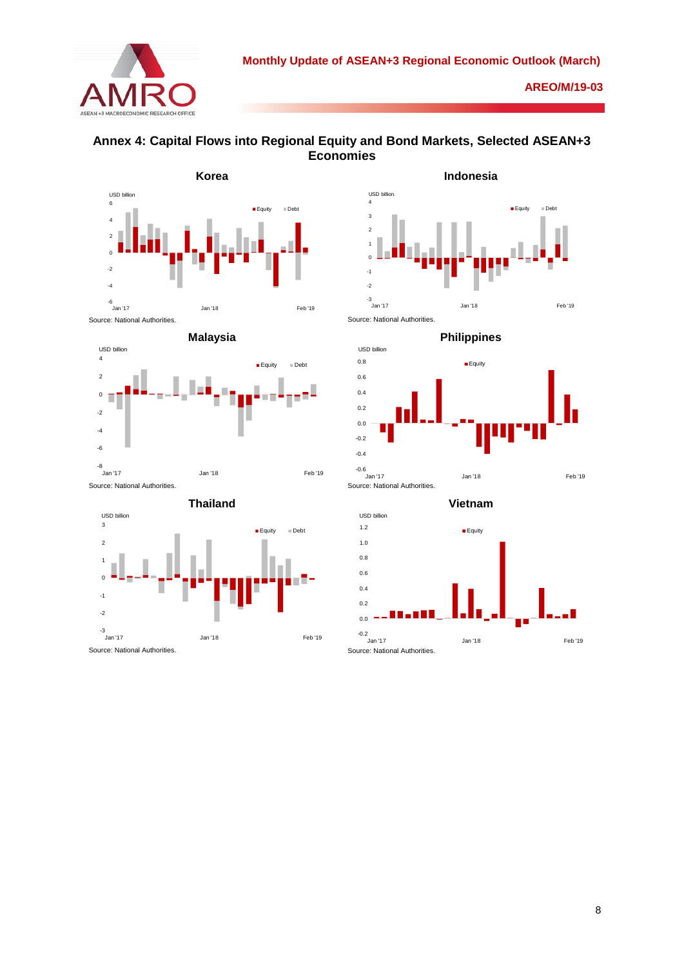













**Vietnam** Source: National Authorities. -0.2 0.0 0.2  $0.4$ 0.6 0.8 1.0 1.2 Jan '17 Jan '18 Feb '19 **Equity** USD billion